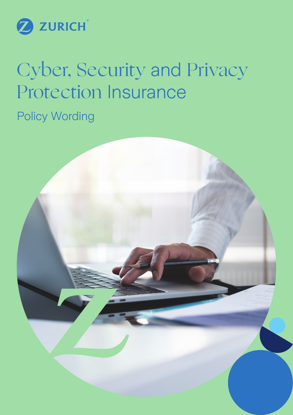

# Cyber, Security and Privacy Protection Insurance

Policy Wording

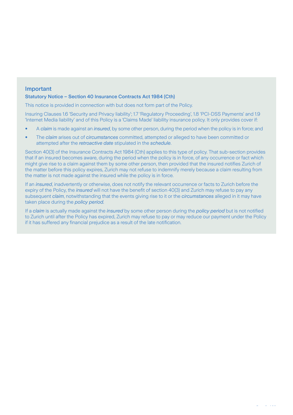# Important

#### Statutory Notice – Section 40 Insurance Contracts Act 1984 (Cth)

This notice is provided in connection with but does not form part of the Policy.

Insuring Clauses 1.6 'Security and Privacy liability'; 1.7 'Regulatory Proceeding', 1.8 'PCI-DSS Payments' and 1.9 'Internet Media liability' and of this Policy is a 'Claims Made' liability insurance policy. It only provides cover if:

- A *claim* is made against an *insured*, by some other person, during the period when the policy is in force; and
- The *claim* arises out of *circumstances* committed, attempted or alleged to have been committed or attempted after the *retroactive date* stipulated in the *schedule*.

Section 40(3) of the Insurance Contracts Act 1984 (Cth) applies to this type of policy. That sub-section provides that if an insured becomes aware, during the period when the policy is in force, of any occurrence or fact which might give rise to a claim against them by some other person, then provided that the insured notifies Zurich of the matter before this policy expires, Zurich may not refuse to indemnify merely because a claim resulting from the matter is not made against the insured while the policy is in force.

If an *insured*, inadvertently or otherwise, does not notify the relevant occurrence or facts to Zurich before the expiry of the Policy, the *insured* will not have the benefit of section 40(3) and Zurich may refuse to pay any subsequent *claim*, notwithstanding that the events giving rise to it or the *circumstances* alleged in it may have taken place during the *policy period.*

If a *claim* is actually made against the *insured* by some other person during the *policy period* but is not notified to Zurich until after the Policy has expired, Zurich may refuse to pay or may reduce our payment under the Policy if it has suffered any financial prejudice as a result of the late notification.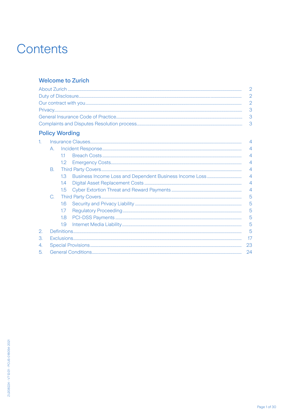# Contents

# **Welcome to Zurich**

# **Policy Wording**

|    | A. |                  |  | 4              |  |
|----|----|------------------|--|----------------|--|
|    |    | 11               |  |                |  |
|    |    | 1.2 <sub>1</sub> |  |                |  |
|    | B. |                  |  | $\overline{4}$ |  |
|    |    | 1.3 <sup>2</sup> |  | $\overline{4}$ |  |
|    |    | 1.4              |  | $\overline{4}$ |  |
|    |    | $1.5^{\circ}$    |  | $\overline{4}$ |  |
|    |    |                  |  | 5              |  |
|    |    | 16 <sup>°</sup>  |  | 5              |  |
|    |    | 1.7 <sup>2</sup> |  | 5              |  |
|    |    | 1.8              |  | 5              |  |
|    |    | 1.9              |  | 5              |  |
| 2. |    |                  |  | 5              |  |
| 3. |    |                  |  |                |  |
| 4. |    |                  |  |                |  |
| 5. |    |                  |  |                |  |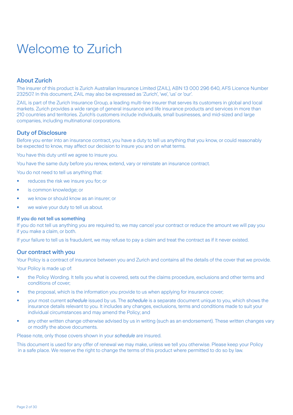# Welcome to Zurich

# About Zurich

The insurer of this product is Zurich Australian Insurance Limited (ZAIL), ABN 13 000 296 640, AFS Licence Number 232507. In this document, ZAIL may also be expressed as 'Zurich', 'we', 'us' or 'our'.

ZAIL is part of the Zurich Insurance Group, a leading multi-line insurer that serves its customers in global and local markets. Zurich provides a wide range of general insurance and life insurance products and services in more than 210 countries and territories. Zurich's customers include individuals, small businesses, and mid-sized and large companies, including multinational corporations.

# Duty of Disclosure

Before you enter into an insurance contract, you have a duty to tell us anything that you know, or could reasonably be expected to know, may affect our decision to insure you and on what terms.

You have this duty until we agree to insure you.

You have the same duty before you renew, extend, vary or reinstate an insurance contract.

You do not need to tell us anything that:

- reduces the risk we insure you for; or
- is common knowledge; or
- we know or should know as an insurer; or
- we waive your duty to tell us about.

#### If you do not tell us something

If you do not tell us anything you are required to, we may cancel your contract or reduce the amount we will pay you if you make a claim, or both.

If your failure to tell us is fraudulent, we may refuse to pay a claim and treat the contract as if it never existed.

#### Our contract with you

Your Policy is a contract of insurance between you and Zurich and contains all the details of the cover that we provide.

Your Policy is made up of:

- the Policy Wording. It tells you what is covered, sets out the claims procedure, exclusions and other terms and conditions of cover;
- the proposal, which is the information you provide to us when applying for insurance cover;
- your most current *schedule* issued by us. The *schedule* is a separate document unique to you, which shows the insurance details relevant to you. It includes any changes, exclusions, terms and conditions made to suit your individual circumstances and may amend the Policy; and
- any other written change otherwise advised by us in writing (such as an endorsement). These written changes vary or modify the above documents.

Please note, only those covers shown in your *schedule* are insured.

This document is used for any offer of renewal we may make, unless we tell you otherwise. Please keep your Policy in a safe place. We reserve the right to change the terms of this product where permitted to do so by law.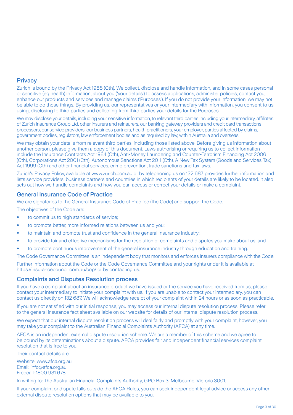# **Privacy**

Zurich is bound by the Privacy Act 1988 (Cth). We collect, disclose and handle information, and in some cases personal or sensitive (eg health) information, about you ('your details') to assess applications, administer policies, contact you, enhance our products and services and manage claims ('Purposes'). If you do not provide your information, we may not be able to do those things. By providing us, our representatives or your intermediary with information, you consent to us using, disclosing to third parties and collecting from third parties your details for the Purposes.

We may disclose your details, including your sensitive information, to relevant third parties including your intermediary, affiliates of Zurich Insurance Group Ltd, other insurers and reinsurers, our banking gateway providers and credit card transactions processors, our service providers, our business partners, health practitioners, your employer, parties affected by claims, government bodies, regulators, law enforcement bodies and as required by law, within Australia and overseas.

We may obtain your details from relevant third parties, including those listed above. Before giving us information about another person, please give them a copy of this document. Laws authorising or requiring us to collect information include the Insurance Contracts Act 1984 (Cth), Anti-Money Laundering and Counter-Terrorism Financing Act 2006 (Cth), Corporations Act 2001 (Cth), Autonomous Sanctions Act 2011 (Cth), A New Tax System (Goods and Services Tax) Act 1999 (Cth) and other financial services, crime prevention, trade sanctions and tax laws.

Zurich's Privacy Policy, available at www.zurich.com.au or by telephoning us on 132 687, provides further information and lists service providers, business partners and countries in which recipients of your details are likely to be located. It also sets out how we handle complaints and how you can access or correct your details or make a complaint.

# General Insurance Code of Practice

We are signatories to the General Insurance Code of Practice (the Code) and support the Code.

The objectives of the Code are:

- to commit us to high standards of service;
- to promote better, more informed relations between us and you;
- to maintain and promote trust and confidence in the general insurance industry;
- to provide fair and effective mechanisms for the resolution of complaints and disputes you make about us; and
- to promote continuous improvement of the general insurance industry through education and training.

The Code Governance Committee is an independent body that monitors and enforces insurers compliance with the Code.

Further information about the Code or the Code Governance Committee and your rights under it is available at https://insurancecouncil.com.au/cop/ or by contacting us.

#### Complaints and Disputes Resolution process

If you have a complaint about an insurance product we have issued or the service you have received from us, please contact your intermediary to initiate your complaint with us. If you are unable to contact your intermediary, you can contact us directly on 132 687. We will acknowledge receipt of your complaint within 24 hours or as soon as practicable.

If you are not satisfied with our initial response, you may access our internal dispute resolution process. Please refer to the general insurance fact sheet available on our website for details of our internal dispute resolution process.

We expect that our internal dispute resolution process will deal fairly and promptly with your complaint, however, you may take your complaint to the Australian Financial Complaints Authority (AFCA) at any time.

AFCA is an independent external dispute resolution scheme. We are a member of this scheme and we agree to be bound by its determinations about a dispute. AFCA provides fair and independent financial services complaint resolution that is free to you.

Their contact details are:

Website: www.afca.org.au Email: info@afca.org.au Freecall: 1800 931 678

In writing to: The Australian Financial Complaints Authority, GPO Box 3, Melbourne, Victoria 3001.

If your complaint or dispute falls outside the AFCA Rules, you can seek independent legal advice or access any other external dispute resolution options that may be available to you.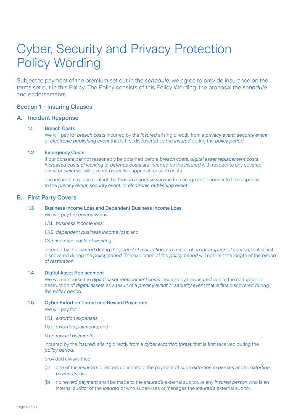# Cyber, Security and Privacy Protection Policy Wording

Subject to payment of the premium set out in the *schedule*, we agree to provide insurance on the terms set out in this Policy. The Policy consists of this Policy Wording, the proposal the *schedule*  and endorsements.

# Section 1 – Insuring Clauses

#### A. Incident Response

#### 1.1 Breach Costs

 We will pay for *breach costs* incurred by the *insured* arising directly from a *privacy event*, *security event* or *electronic publishing event* that is first discovered by the *insured* during the *policy period*.

#### 1.2 Emergency Costs

 If our consent cannot reasonably be obtained before *breach costs*, *digital asset replacement costs*, *increased costs of working* or *defence costs* are incurred by the *insured* with respect to any covered *event* or *claim* we will give retrospective approval for such costs.

 The *insured* may also contact the *breach response service* to manage and coordinate the response to the *privacy event*, *security event*, or *electronic publishing event*.

#### B. First Party Covers

## 1.3 Business Income Loss and Dependent Business Income Loss

We will pay the *company* any:

- 1.3.1 *business income loss*;
- 1.3.2 *dependent business income loss*; and
- 1.3.3 *increase costs of working*,

 incurred by the *insured* during the *period of restoration*, as a result of an *interruption of service*, that is first discovered during the *policy period*. The expiration of the *policy period* will not limit the length of the *period of restoration*.

### 1.4 Digital Asset Replacement

 We will reimburse the *digital asset replacement costs* incurred by the *insured* due to the corruption or destruction of *digital assets* as a result of a *privacy event* or *security event* that is first discovered during the *policy period*.

#### 1.5 Cyber Extortion Threat and Reward Payments

We will pay for:

- 1.5.1 *extortion expenses*;
- 1.5.2 *extortion payments*; and
- 1.5.3 *reward payments*,

 incurred by the *insured*, arising directly from a *cyber extortion threat*, that is first received during the *policy period*,

provided always that:

- (a) one of the *insured's* directors consents to the payment of such *extortion expenses* and/or *extortion payments*; and
- (b) no *reward payment* shall be made to the *insured's* external auditor, or any *insured person* who is an internal auditor of the *insured* or who supervises or manages the *insured's* external auditor.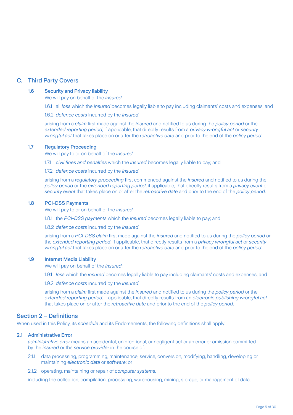# C. Third Party Covers

#### 1.6 Security and Privacy liability

We will pay on behalf of the *insured*:

1.6.1 all *loss* which the *insured* becomes legally liable to pay including claimants' costs and expenses; and

1.6.2 *defence costs* incurred by the *insured*,

 arising from a *claim* first made against the *insured* and notified to us during the *policy period* or the *extended reporting period*, if applicable, that directly results from a *privacy wrongful act* or *security wrongful act* that takes place on or after the *retroactive date* and prior to the end of the *policy period*.

#### 1.7 Regulatory Proceeding

We will pay to or on behalf of the *insured*:

- 1.7.1 *civil fines and penalties* which the *insured* becomes legally liable to pay; and
- 1.7.2 *defence costs* incurred by the *insured*,

 arising from a *regulatory proceeding* first commenced against the *insured* and notified to us during the *policy period* or the *extended reporting period*, if applicable, that directly results from a *privacy event* or *security event* that takes place on or after the *retroactive date* and prior to the end of the *policy period*.

#### 1.8 PCI-DSS Payments

We will pay to or on behalf of the *insured*:

1.8.1 the *PCI-DSS payments* which the *insured* becomes legally liable to pay; and

1.8.2 *defence costs* incurred by the *insured*,

 arising from a *PCI-DSS claim* first made against the *insured* and notified to us during the *policy period* or the *extended reporting period*, if applicable, that directly results from a *privacy wrongful act* or *security wrongful act* that takes place on or after the *retroactive date* and prior to the end of the *policy period*.

#### 1.9 Internet Media Liability

We will pay on behalf of the *insured*:

1.9.1 *loss* which the *insured* becomes legally liable to pay including claimants' costs and expenses; and

1.9.2 *defence costs* incurred by the *insured*,

 arising from a *claim* first made against the *insured* and notified to us during the *policy period* or the *extended reporting period*, if applicable, that directly results from an *electronic publishing wrongful act* that takes place on or after the *retroactive date* and prior to the end of the *policy period*.

# Section 2 – Definitions

When used in this Policy, its *schedule* and its Endorsements, the following definitions shall apply:

#### 2.1 Administrative Error

*administrative error* means an accidental, unintentional, or negligent act or an error or omission committed by the *insured* or the *service provider* in the course of:

- 2.1.1 data processing, programming, maintenance, service, conversion, modifying, handling, developing or maintaining *electronic data* or *software*; or
- 2.1.2 operating, maintaining or repair of *computer systems*,

including the collection, compilation, processing, warehousing, mining, storage, or management of data.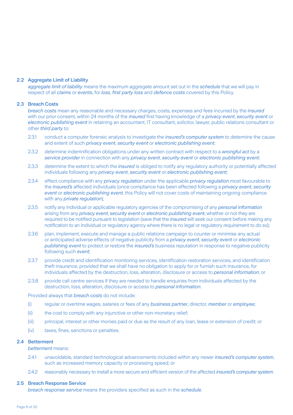#### 2.2 Aggregate Limit of Liability

*aggregate limit of liability* means the maximum aggregate amount set out in the *schedule* that we will pay in respect of all *claims* or *events*, for *loss*, *first party loss* and *defence costs* covered by this Policy.

#### 2.3 Breach Costs

*breach costs* mean any reasonable and necessary charges, costs, expenses and fees incurred by the *insured* with our prior consent, within 24 months of the *insured* first having knowledge of a *privacy event*, *security event* or *electronic publishing event* in retaining an accountant, IT consultant, solicitor, lawyer, public relations consultant or other *third party* to:

- 2.3.1 conduct a computer forensic analysis to investigate the *insured's computer system* to determine the cause and extent of such *privacy event*, *security event* or *electronic publishing event*;
- 2.3.2 determine indemnification obligations under any written contract with respect to a *wrongful act* by a *service provider* in connection with any *privacy event*, *security event* or *electronic publishing event*;
- 2.3.3 determine the extent to which the *insured* is obliged to notify any regulatory authority or potentially affected individuals following any *privacy event*, *security event* or *electronic publishing event*;
- 2.3.4 effect compliance with any *privacy regulation* under the applicable *privacy regulation* most favourable to the *insured's* affected individuals (once compliance has been effected following a *privacy event*, *security event* or *electronic publishing event*, this Policy will not cover costs of maintaining ongoing compliance with any *private regulation*);
- 2.3.5 notify any individual or applicable regulatory agencies of the compromising of any *personal information* arising from any *privacy event*, *security event* or *electronic publishing event*, whether or not they are required to be notified pursuant to legislation (save that the *insured* will seek our consent before making any notification to an individual or regulatory agency where there is no legal or regulatory requirement to do so);
- 2.3.6 plan, implement, execute and manage a public relations campaign to counter or minimise any actual or anticipated adverse effects of negative publicity from a *privacy event*, *security event* or *electronic publishing event* to protect or restore the *insured's* business reputation in response to negative publicity following such *event*;
- 2.3.7 provide credit and identification monitoring services, identification restoration services, and identification theft insurance, provided that we shall have no obligation to apply for or furnish such insurance, for individuals affected by the destruction, loss, alteration, disclosure or access to *personal information*; or
- 2.3.8 provide call centre services if they are needed to handle enquiries from individuals affected by the destruction, loss, alteration, disclosure or access to *personal information*.

Provided always that *breach costs* do not include:

- (i) regular or overtime wages, salaries or fees of any *business partner*, director, *member* or *employee*;
- (ii) the cost to comply with any injunctive or other non-monetary relief:
- (iii) principal, interest or other monies paid or due as the result of any loan, lease or extension of credit; or
- (iv) taxes, fines, sanctions or penalties.

#### 2.4 Betterment

*betterment* means:

- 2.4.1 unavoidable, standard technological advancements included within any newer *insured's computer system*, such as increased memory capacity or processing speed; or
- 2.4.2 reasonably necessary to install a more secure and efficient version of the affected *insured's computer system*.

#### 2.5 Breach Response Service

*breach response service* means the providers specified as such in the *schedule*.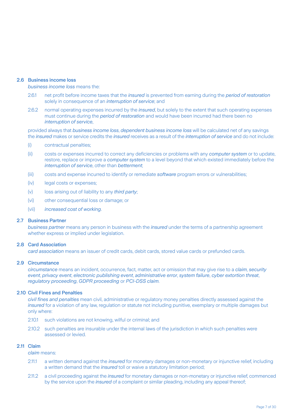#### 2.6 Business income loss

#### *business income loss* means the:

- 2.6.1 net profit before income taxes that the *insured* is prevented from earning during the *period of restoration* solely in consequence of an *interruption of service*; and
- 2.6.2 normal operating expenses incurred by the *insured*, but solely to the extent that such operating expenses must continue during the *period of restoration* and would have been incurred had there been no *interruption of service*,

provided always that *business income loss*, *dependent business income loss* will be calculated net of any savings the *insured* makes or service credits the *insured* receives as a result of the *interruption of service* and do not include:

- (i) contractual penalties;
- (ii) costs or expenses incurred to correct any deficiencies or problems with any *computer system* or to update, restore, replace or improve a *computer system* to a level beyond that which existed immediately before the *interruption of service*, other than *betterment*;
- (iii) costs and expense incurred to identify or remediate *software* program errors or vulnerabilities;
- (iv) legal costs or expenses;
- (v) loss arising out of liability to any *third party*;
- (vi) other consequential loss or damage; or
- (vii) *increased cost of working*.

#### 2.7 Business Partner

*business partner* means any person in business with the *insured* under the terms of a partnership agreement whether express or implied under legislation.

#### 2.8 Card Association

*card association* means an issuer of credit cards, debit cards, stored value cards or prefunded cards.

#### 2.9 Circumstance

*circumstance* means an incident, occurrence, fact, matter, act or omission that may give rise to a *claim*, *security event*, *privacy event*, *electronic publishing event*, *administrative error*, *system failure*, *cyber extortion threat*, *regulatory proceeding*, *GDPR proceeding* or *PCI-DSS claim*.

#### 2.10 Civil Fines and Penalties

*civil fines and penalties* mean civil, administrative or regulatory money penalties directly assessed against the *insured* for a violation of any law, regulation or statute not including punitive, exemplary or multiple damages but only where:

- 2.10.1 such violations are not knowing, wilful or criminal; and
- 2.10.2 such penalties are insurable under the internal laws of the jurisdiction in which such penalties were assessed or levied.

#### 2.11 Claim

*claim* means:

- 2.11.1 a written demand against the *insured* for monetary damages or non-monetary or injunctive relief, including a written demand that the *insured* toll or waive a statutory limitation period;
- 2.11.2 a civil proceeding against the *insured* for monetary damages or non-monetary or injunctive relief, commenced by the service upon the *insured* of a complaint or similar pleading, including any appeal thereof;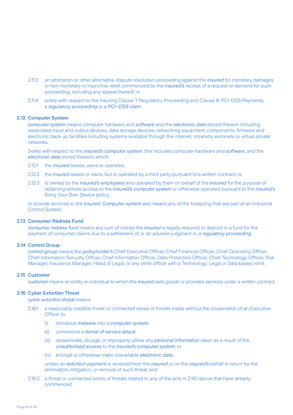- 2.11.3 an arbitration or other alternative dispute resolution proceeding against the *insured* for monetary damages or non-monetary or injunctive relief, commenced by the *insured's* receipt of a request or demand for such proceeding, including any appeal thereof; or
- 2.11.4 solely with respect to the Insuring Clause 7. Regulatory Proceeding and Clause 8. PCI-DSS Payments, a *regulatory proceeding* or a *PCI–DSS clai*m.

#### 2.12 Computer System

*computer system* means computer hardware and *software* and the *electronic data* stored thereon including associated input and output devices, data storage devices, networking equipment, components, firmware and electronic back up facilities including systems available through the internet, intranets, extranets or virtual private networks.

Solely with respect to the *insured's computer system*, this includes computer hardware and *software*, and the *electronic data* stored thereon, which:

- 2.12.1 the *insured* leases, owns or operates;
- 2.12.2 the *insured* leases or owns, but is operated by a third party pursuant to a written contract; or
- 2.12.3 is owned by the *insured's employees* and operated by them on behalf of the *insured* for the purpose of obtaining remote access to the *insured's computer system* or otherwise operated pursuant to the *insured's* Bring Your Own Device policy,

to provide services to the *insured*. *Computer system* also means any of the foregoing that are part of an Industrial Control System.

#### 2.13 Consumer Redress Fund

*consumer redress fund* means any sum of money the *insured* is legally required to deposit in a fund for the payment of consumer claims due to a settlement of, or an adverse judgment in, a *regulatory proceeding*.

# 2.14 Control Group

*control group* means the *policyholder's* Chief Executive Officer, Chief Financial Officer, Chief Operating Officer, Chief Information Security Officer, Chief Information Officer, Data Protection Officer, Chief Technology Officer, Risk Manager, Insurance Manager, Head of Legal, or any other officer with a Technology, Legal or Data based remit.

#### 2.15 Customer

*customer* means an entity or individual to whom the *insured* sells goods or provides services under a written contract.

#### 2.16 Cyber Extortion Threat

*cyber extortion threat* means:

- 2.16.1 a reasonably credible threat or connected series of threats made without the cooperation of an Executive Officer to:
	- (i) introduce *malware* into a *computer system*;
	- (ii) commence a *denial of service attack*;
	- (iii) disseminate, divulge, or improperly utilise any *personal information* taken as a result of the *unauthorised access* to the *insured's computer system*; or
	- (iv) encrypt or otherwise make unavailable *electronic data*,

unless an *extortion payment* is received from the *insured* or on the *insured's* behalf in return for the elimination, mitigation, or removal of such threat; and

2.16.2 a threat or connected series of threats related to any of the acts in 2.16.1 above that have already commenced.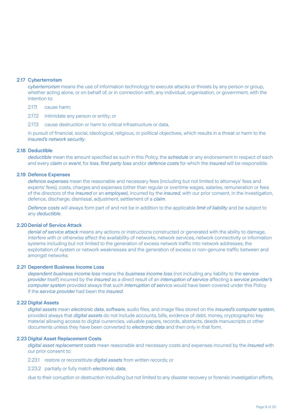#### 2.17 Cyberterrorism

*cyberterrorism* means the use of information technology to execute attacks or threats by any person or group, whether acting alone, or on behalf of, or in connection with, any individual, organisation, or government, with the intention to:

- 2.17.1 cause harm;
- 2.17.2 intimidate any person or entity; or
- 2.17.3 cause destruction or harm to critical infrastructure or data,

in pursuit of financial, social, ideological, religious, or political objectives, which results in a threat or harm to the *insured's network security*.

#### 2.18 Deductible

*deductible* mean the amount specified as such in this Policy, the *schedule* or any endorsement in respect of each and every *claim* or *event*, for *loss*, *first party loss* and/or *defence costs* for which the *insured* will be responsible.

#### 2.19 Defence Expenses

*defence expenses* mean the reasonable and necessary fees (including but not limited to attorneys' fees and experts' fees), costs, charges and expenses (other than regular or overtime wages, salaries, remuneration or fees of the directors of the *insured* or an *employee*), incurred by the *insured*, with our prior consent, in the investigation, defence, discharge, dismissal, adjustment, settlement of a *claim*.

*Defence costs* will always form part of and not be in addition to the applicable *limit of liability* and be subject to any *deductible*.

#### 2.20Denial of Service Attack

*denial of service attack* means any actions or instructions constructed or generated with the ability to damage, interfere with or otherwise affect the availability of networks, network services, network connectivity or information systems including but not limited to the generation of excess network traffic into network addresses, the exploitation of system or network weaknesses and the generation of excess or non-genuine traffic between and amongst networks.

#### 2.21 Dependent Business Income Loss

*dependent business income loss* means the *business income loss* (not including any liability to the *service provider* itself) incurred by the *insured* as a direct result of an *interruption of service* affecting a *service provider's computer system* provided always that such *interruption of serv*ice would have been covered under this Policy if the *service provider* had been the *insured*.

#### 2.22 Digital Assets

*digital assets* mean *electronic data*, *software*, audio files, and image files stored on the *insured's computer system*, provided always that *digital assets* do not include accounts, bills, evidence of debt, money, cryptographic key material allowing access to digital currencies, valuable papers, records, abstracts, deeds manuscripts or other documents unless they have been converted to *electronic data* and then only in that form.

#### 2.23 Digital Asset Replacement Costs

*digital asset replacement costs* mean reasonable and necessary costs and expenses incurred by the *insured* with our prior consent to:

- 2.23.1 restore or reconstitute *digital assets* from written records; or
- 2.23.2 partially or fully match *electronic data*,

due to their corruption or destruction including but not limited to any disaster recovery or forensic investigation efforts,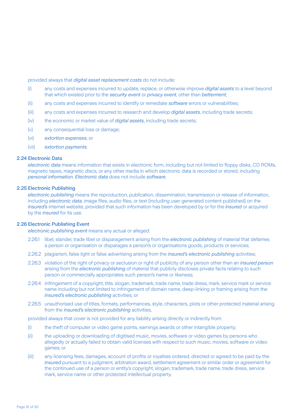provided always that *digital asset replacement costs* do not include:

- (i) any costs and expenses incurred to update, replace, or otherwise improve *digital assets* to a level beyond that which existed prior to the *security event* or *privacy event*, other than *betterment*;
- (ii) any costs and expenses incurred to identify or remediate *software* errors or vulnerabilities;
- (iii) any costs and expenses incurred to research and develop *digital assets*, including trade secrets;
- (iv) the economic or market value of *digital assets*, including trade secrets;
- (v) any consequential loss or damage;
- (vi) *extortion expenses*; or
- (vii) *extortion payments*.

#### 2.24 Electronic Data

*electronic data* means information that exists in electronic form, including but not limited to floppy disks, CD ROMs, magnetic tapes, magnetic discs, or any other media in which electronic data is recorded or stored, including *personal information. Electronic data* does not include *software*.

#### 2.25 Electronic Publishing

*electronic publishing* means the reproduction, publication, dissemination, transmission or release of information, including *electronic data*, image files, audio files, or text (including user generated content published) on the *insured's* internet website, provided that such information has been developed by or for the *insured* or acquired by the *insured* for its use.

#### 2.26 Electronic Publishing Event

*electronic publishing event* means any actual or alleged:

- 2.26.1 libel, slander, trade libel or disparagement arising from the *electronic publishing* of material that defames a person or organisation or disparages a person's or organisations goods, products or services;
- 2.26.2 plagiarism, false light or false advertising arising from the *insured's electronic publishing* activities;
- 2.26.3 violation of the right of privacy or seclusion or right of publicity of any person other than an *insured person* arising from the *electronic publishing* of material that publicly discloses private facts relating to such person or commercially appropriates such person's name or likeness;
- 2.26.4 infringement of a copyright, title, slogan, trademark, trade name, trade dress, mark, service mark or service name including but not limited to infringement of domain name, deep-linking or framing arising from the *insured's electronic publishing* activities; or
- 2.26.5 unauthorised use of titles, formats, performances, style, characters, plots or other protected material arising from the *insured's electronic publishing* activities,

provided always that cover is not provided for any liability arising directly or indirectly from:

- (i) the theft of computer or video game points, earnings awards or other intangible property;
- (ii) the uploading or downloading of digitised music, movies, software or video games by persons who allegedly or actually failed to obtain valid licenses with respect to such music, movies, software or video games; or
- (iii) any licensing fees, damages, account of profits or royalties ordered, directed or agreed to be paid by the *insured* pursuant to a judgment, arbitration award, settlement agreement or similar order or agreement for the continued use of a person or entity's copyright, slogan, trademark, trade name, trade dress, service mark, service name or other protected intellectual property.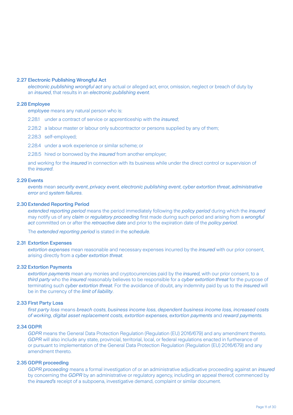#### 2.27 Electronic Publishing Wrongful Act

*electronic publishing wrongful act* any actual or alleged act, error, omission, neglect or breach of duty by an *insured*, that results in an *electronic publishing event*.

#### 2.28 Employee

*employee* means any natural person who is:

- 2.28.1 under a contract of service or apprenticeship with the *insured*;
- 2.28.2 a labour master or labour only subcontractor or persons supplied by any of them;
- 2.28.3 self-employed;
- 2.28.4 under a work experience or similar scheme; or
- 2.28.5 hired or borrowed by the *insured* from another employer;

and working for the *insured* in connection with its business while under the direct control or supervision of the *insured*.

#### 2.29 Events

*events* mean *security event*, *privacy event*, *electronic publishing event*, *cyber extortion threat*, *administrative error* and *system failures*.

#### 2.30Extended Reporting Period

*extended reporting period* means the period immediately following the *policy period* during which the *insured* may notify us of any *claim* or *regulatory proceeding* first made during such period and arising from a *wrongful act* committed on or after the *retroactive date* and prior to the expiration date of the *policy period*.

The *extended reporting period* is stated in the *schedule*.

#### 2.31 Extortion Expenses

*extortion expenses* mean reasonable and necessary expenses incurred by the *insured* with our prior consent, arising directly from a *cyber extortion threat*.

#### 2.32 Extortion Payments

*extortion payments* mean any monies and cryptocurrencies paid by the *insured,* with our prior consent, to a *third party* who the *insured* reasonably believes to be responsible for a *cyber extortion threat* for the purpose of terminating such *cyber extortion threat*. For the avoidance of doubt, any indemnity paid by us to the *insured* will be in the currency of the *limit of liability*.

#### 2.33 First Party Loss

*first party loss* means *breach costs*, *business income loss*, *dependent business income loss*, *increased costs of working*, *digital asset replacement costs*, *extortion expenses*, *extortion payments* and *reward payments*.

#### 2.34 GDPR

*GDPR* means the General Data Protection Regulation (Regulation (EU) 2016/679) and any amendment thereto. *GDPR* will also include any state, provincial, territorial, local, or federal regulations enacted in furtherance of or pursuant to implementation of the General Data Protection Regulation (Regulation (EU) 2016/679) and any amendment thereto.

#### 2.35 GDPR proceeding

*GDPR proceeding* means a formal investigation of or an administrative adjudicative proceeding against an *insured* by concerning the *GDPR* by an administrative or regulatory agency, including an appeal thereof, commenced by the *insured's* receipt of a subpoena, investigative demand, complaint or similar document.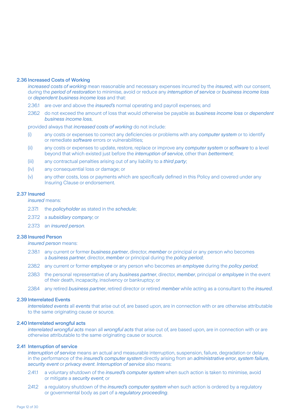#### 2.36 Increased Costs of Working

*increased costs of working* mean reasonable and necessary expenses incurred by the *insured*, with our consent, during the *period of restoration* to minimise, avoid or reduce any *interruption of service* or *business income loss*  or *dependent business income loss* and that:

- 2.36.1 are over and above the *insured's* normal operating and payroll expenses; and
- 2.36.2 do not exceed the amount of loss that would otherwise be payable as *business income loss* or *dependent business income loss*,

provided always that *increased costs of working* do not include:

- (i) any costs or expenses to correct any deficiencies or problems with any *computer system* or to identify or remediate *software* errors or vulnerabilities;
- (ii) any costs or expenses to update, restore, replace or improve any *computer system* or *software* to a level beyond that which existed just before the *interruption of service*, other than *betterment*;
- (iii) any contractual penalties arising out of any liability to a *third party*;
- (iv) any consequential loss or damage; or
- (v) any other costs, loss or payments which are specifically defined in this Policy and covered under any Insuring Clause or endorsement.

#### 2.37 Insured

*insured* means:

- 2.37.1 the *policyholder* as stated in the *schedule*;
- 2.37.2 a *subsidiary company*; or
- 2.37.3 an *insured person*.

#### 2.38 Insured Person

*insured person* means:

- 2.38.1 any current or former *business partner*, director, *member* or principal or any person who becomes a *business partner*, director, *member* or principal during the *policy period*;
- 2.38.2 any current or former *employee* or any person who becomes an *employee* during the *policy period*;
- 2.38.3 the personal representative of any *business partner*, director, *member*, principal or *employee* in the event of their death, incapacity, insolvency or bankruptcy; or
- 2.38.4 any retired *business partner*, retired director or retired *member* while acting as a consultant to the *insured*.

#### 2.39 Interrelated Events

*interrelated events* all *events* that arise out of, are based upon, are in connection with or are otherwise attributable to the same originating cause or source.

#### 2.40 Interrelated wrongful acts

*interrelated wrongful acts* mean all *wrongful acts* that arise out of, are based upon, are in connection with or are otherwise attributable to the same originating cause or source.

#### 2.41 Interruption of service

*interruption of service* means an actual and measurable interruption, suspension, failure, degradation or delay in the performance of the *insured's computer system* directly arising from an *administrative error*, *system failure*, *security event* or *privacy event*. *Interruption of service* also means:

- 2.41.1 a voluntary shutdown of the *insured's computer system* when such action is taken to minimise, avoid or mitigate a *security event*; or
- 2.41.2 a regulatory shutdown of the *insured's computer system* when such action is ordered by a regulatory or governmental body as part of a *regulatory proceeding*.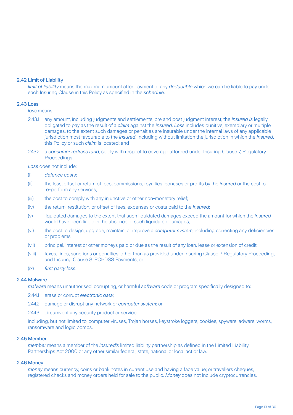#### 2.42 Limit of Liability

*limit of liability* means the maximum amount after payment of any *deductible* which we can be liable to pay under each Insuring Clause in this Policy as specified in the *schedule*.

#### 2.43 Loss

*loss* means:

- 2.43.1 any amount, including judgments and settlements, pre and post judgment interest, the *insured is* legally obligated to pay as the result of a *claim* against the *insured*. *Loss* includes punitive, exemplary or multiple damages, to the extent such damages or penalties are insurable under the internal laws of any applicable jurisdiction most favourable to the *insured*, including without limitation the jurisdiction in which the *insured*, this Policy or such *claim* is located; and
- 2.43.2 a *consumer redress fund*, solely with respect to coverage afforded under Insuring Clause 7, Regulatory Proceedings.

*Loss* does not include:

#### (i) *defence costs*;

- (ii) the loss, offset or return of fees, commissions, royalties, bonuses or profits by the *insured* or the cost to re-perform any services;
- (iii) the cost to comply with any injunctive or other non-monetary relief;
- (iv) the return, restitution, or offset of fees, expenses or costs paid to the *insured*;
- (v) liquidated damages to the extent that such liquidated damages exceed the amount for which the *insured* would have been liable in the absence of such liquidated damages;
- (vi) the cost to design, upgrade, maintain, or improve a *computer system*, including correcting any deficiencies or problems;
- (vii) principal, interest or other moneys paid or due as the result of any loan, lease or extension of credit;
- (viii) taxes, fines, sanctions or penalties, other than as provided under Insuring Clause 7. Regulatory Proceeding, and Insuring Clause 8. PCI-DSS Payments; or
- (ix) *first party loss*.

#### 2.44 Malware

*malware* means unauthorised, corrupting, or harmful *software* code or program specifically designed to:

- 2.44.1 erase or corrupt *electronic data*;
- 2.44.2 damage or disrupt any network or *computer system*; or
- 2.44.3 circumvent any security product or service,

including, but not limited to, computer viruses, Trojan horses, keystroke loggers, cookies, spyware, adware, worms, ransomware and logic bombs.

#### 2.45 Member

*member* means a member of the *insured's* limited liability partnership as defined in the Limited Liability Partnerships Act 2000 or any other similar federal, state, national or local act or law.

#### 2.46 Money

*money* means currency, coins or bank notes in current use and having a face value; or travellers cheques, registered checks and money orders held for sale to the public. *Money* does not include cryptocurrencies.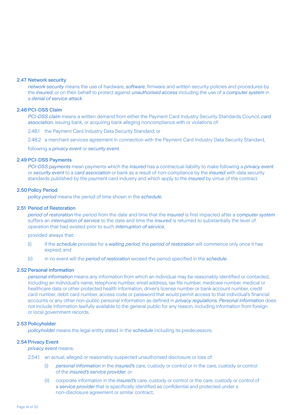#### 2.47 Network security

*network security* means the use of hardware, *software*, firmware and written security policies and procedures by the *insured*, or on their behalf to protect against *unauthorised access* including the use of a *computer system* in a *denial of service attack*.

#### 2.48 PCI-DSS Claim

*PCI-DSS claim* means a written demand from either the Payment Card Industry Security Standards Council, *card association*, issuing bank, or acquiring bank alleging noncompliance with or violations of:

2.48.1 the Payment Card Industry Data Security Standard; or

2.48.2 a merchant services agreement in connection with the Payment Card Industry Data Security Standard,

following a *privacy event* or *security event*.

#### 2.49 PCI-DSS Payments

*PCI-DSS payments* mean payments which the *insured* has a contractual liability to make following a *privacy event* or *security event* to a *card association* or bank as a result of non-compliance by the *insured* with data security standards published by the payment card industry and which apply to the *insured* by virtue of the contract.

#### 2.50 Policy Period

*policy period* means the period of time shown in the *schedule*.

#### 2.51 Period of Restoration

*period of restoration* the period from the date and time that the *insured* is first impacted after a *computer system* suffers an *interruption of service* to the date and time the *insured* is returned to substantially the level of operation that had existed prior to such *interruption of service*,

provided always that:

- (i) if the *schedule* provides for a *waiting period*, the *period of restoration* will commence only once it has expired; and
- (ii) in no event will the *period of restoration* exceed the period specified in the *schedule*.

#### 2.52 Personal information

*personal information* means any information from which an individual may be reasonably identified or contacted, including an individual's name, telephone number, email address, tax file number, medicare number, medical or healthcare data or other protected health information, driver's license number or bank account number, credit card number, debit card number, access code or password that would permit access to that individual's financial accounts or any other non-public personal information as defined in *privacy regulations. Personal information* does not include information lawfully available to the general public for any reason, including information from foreign or local government records.

#### 2.53 Policyholder

*policyholder* means the legal entity stated in the *schedule* including its predecessors.

#### 2.54 Privacy Event

*privacy event* means:

- 2.54.1 an actual, alleged or reasonably suspected unauthorised disclosure or loss of:
	- (i) *personal information* in the *insured's* care, custody or control or in the care, custody or control of the *insured's service provider*; or
	- (ii) corporate information in the *insured's* care, custody or control or the care, custody or control of a *service provider* that is specifically identified as confidential and protected under a non-disclosure agreement or similar contract;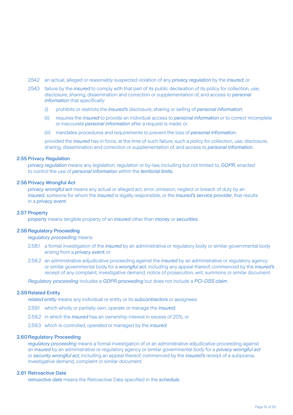- 2.54.2 an actual, alleged or reasonably suspected violation of any *privacy regulation* by the *insured*; or
- 2.54.3 failure by the *insured* to comply with that part of its public declaration of its policy for collection, use, disclosure, sharing, dissemination and correction or supplementation of, and access to *personal information* that specifically:
	- (i) prohibits or restricts the *insured's* disclosure, sharing or selling of *personal information*;
	- (ii) requires the *insured* to provide an individual access to *personal information* or to correct incomplete or inaccurate *personal information* after a request is made; or
	- (iii) mandates procedures and requirements to prevent the loss of *personal information*,

 provided the *insured* has in force, at the time of such failure, such a policy for collection, use, disclosure, sharing, dissemination and correction or supplementation of, and access to *personal information*.

#### 2.55 Privacy Regulation

*privacy regulation* means any legislation, regulation or by-law, including but not limited to, *GDPR*, enacted to control the use of *personal information* within the *territorial limits*.

#### 2.56 Privacy Wrongful Act

*privacy wrongful act* means any actual or alleged act, error, omission, neglect or breach of duty by an *insured*, someone for whom the *insured* is legally responsible, or the *insured's service provider*, that results in a *privacy event*.

#### 2.57 Property

*property* means tangible property of an *insured* other than *money* or *securities*.

#### 2.58 Regulatory Proceeding

*regulatory proceeding* means:

- 2.58.1 a formal investigation of the *insured* by an administrative or regulatory body or similar governmental body arising from a *privacy event*; or
- 2.58.2 an administrative adjudicative proceeding against the *insured* by an administrative or regulatory agency or similar governmental body for a *wrongful act*, including any appeal thereof, commenced by the *insured's* receipt of any complaint, investigative demand, notice of prosecution, writ, summons or similar document.

*Regulatory proceeding* includes a *GDPR proceeding* but does not include a *PCI-DSS claim*.

#### 2.59 Related Entity

*related entity* means any individual or entity or its *subcontractors* or assignees:

- 2.59.1 which wholly or partially own, operate or manage the *insured*;
- 2.59.2 in which the *insured* has an ownership interest in excess of 20%; or
- 2.59.3 which is controlled, operated or managed by the *insured*.

#### 2.60Regulatory Proceeding

*regulatory proceeding* means a formal investigation of or an administrative adjudicative proceeding against an *insured* by an administrative or regulatory agency or similar governmental body for a *privacy wrongful act* or *security wrongful act*, including an appeal thereof, commenced by the *insured's* receipt of a subpoena, investigative demand, complaint or similar document.

#### 2.61 Retroactive Date

*retroactive date* means the Retroactive Date specified in the *schedule*.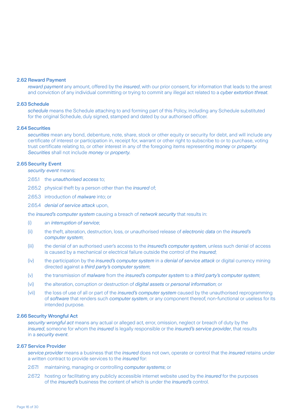#### 2.62 Reward Payment

*reward payment* any amount, offered by the *insured*, with our prior consent, for information that leads to the arrest and conviction of any individual committing or trying to commit any illegal act related to a *cyber extortion threat*.

#### 2.63 Schedule

*schedule* means the Schedule attaching to and forming part of this Policy, including any Schedule substituted for the original Schedule, duly signed, stamped and dated by our authorised officer.

#### 2.64 Securities

*securities* mean any bond, debenture, note, share, stock or other equity or security for debt, and will include any certificate of interest or participation in, receipt for, warrant or other right to subscribe to or to purchase, voting trust certificate relating to, or other interest in any of the foregoing items representing *money* or *property*. *Securities* shall not include *money* or *property.*

#### 2.65 Security Event

*security event* means:

2.65.1 the *unauthorised access* to;

2.65.2 physical theft by a person other than the *insured* of;

2.65.3 introduction of *malware* into; or

2.65.4 *denial of service attack* upon,

the *insured's computer system* causing a breach of *network security* that results in:

- (i) an *interruption of service*;
- (ii) the theft, alteration, destruction, loss, or unauthorised release of *electronic data* on the *insured's computer system*;
- (iii) the denial of an authorised user's access to the *insured's computer system*, unless such denial of access is caused by a mechanical or electrical failure outside the control of the *insured*;
- (iv) the participation by the *insured's computer system* in a *denial of service attack* or digital currency mining directed against a *third party's computer system*;
- (v) the transmission of *malware* from the *insured's computer system* to a *third party's computer system*;
- (vi) the alteration, corruption or destruction of *digital assets* or *personal information*; or
- (vii) the loss of use of all or part of the *insured's computer system* caused by the unauthorised reprogramming of *software* that renders such *computer system*, or any component thereof, non-functional or useless for its intended purpose.

#### 2.66 Security Wrongful Act

*security wrongful act* means any actual or alleged act, error, omission, neglect or breach of duty by the *insured*, someone for whom the *insured* is legally responsible or the *insured's service provider*, that results in a *security event*.

#### 2.67 Service Provider

*service provider* means a business that the *insured* does not own, operate or control that the *insured* retains under a written contract to provide services to the *insured* for:

- 2.67.1 maintaining, managing or controlling *computer systems*; or
- 2.67.2 hosting or facilitating any publicly accessible internet website used by the *insured* for the purposes of the *insured's* business the content of which is under the *insured's* control.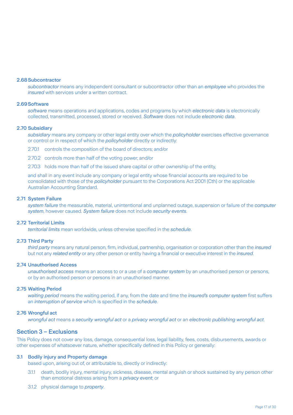#### 2.68Subcontractor

*subcontractor* means any independent consultant or subcontractor other than an *employee* who provides the *insured* with services under a written contract.

#### 2.69Software

*software* means operations and applications, codes and programs by which *electronic data* is electronically collected, transmitted, processed, stored or received. *Software* does not include *electronic data*.

#### 2.70 Subsidiary

*subsidiary* means any company or other legal entity over which the *policyholder* exercises effective governance or control or in respect of which the *policyholder* directly or indirectly:

2.70.1 controls the composition of the board of directors; and/or

2.70.2 controls more than half of the voting power; and/or

2.70.3 holds more than half of the issued share capital or other ownership of the entity,

and shall in any event include any company or legal entity whose financial accounts are required to be consolidated with those of the *policyholder* pursuant to the Corporations Act 2001 (Cth) or the applicable Australian Accounting Standard.

#### 2.71 System Failure

*system failure* the measurable, material, unintentional and unplanned outage, suspension or failure of the *computer system*, however caused. *System failure* does not include *security events*.

#### 2.72 Territorial Limits

*territorial limits* mean worldwide, unless otherwise specified in the *schedule*.

#### 2.73 Third Party

*third party* means any natural person, firm, individual, partnership, organisation or corporation other than the *insured* but not any *related entity* or any other person or entity having a financial or executive interest in the *insured*.

#### 2.74 Unauthorised Access

*unauthorised access* means an access to or a use of a *computer system* by an unauthorised person or persons, or by an authorised person or persons in an unauthorised manner.

#### 2.75 Waiting Period

*waiting period* means the waiting period, if any, from the date and time the *insured's computer system* first suffers an *interruption of service* which is specified in the *schedule*.

#### 2.76 Wrongful act

*wrongful act* means a *security wrongful act* or a *privacy wrongful act* or an *electronic publishing wrongful act*.

# Section 3 – Exclusions

This Policy does not cover any loss, damage, consequential loss, legal liability, fees, costs, disbursements, awards or other expenses of whatsoever nature, whether specifically defined in this Policy or generally:

#### 3.1 Bodily injury and Property damage

based upon, arising out of, or attributable to, directly or indirectly:

- 3.1.1 death, bodily injury, mental injury, sickness, disease, mental anguish or shock sustained by any person other than emotional distress arising from a *privacy event*; or
- 3.1.2 physical damage to *property*.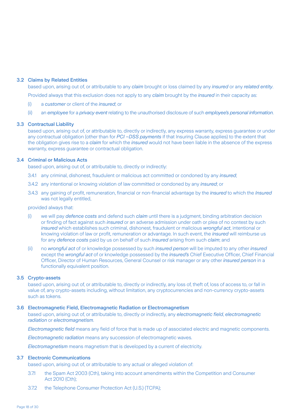#### 3.2 Claims by Related Entities

based upon, arising out of, or attributable to any *claim* brought or loss claimed by any *insured* or any *related entity*.

Provided always that this exclusion does not apply to any *claim* brought by the *insured* in their capacity as:

- (i) a *customer* or client of the *insured*; or
- (ii) an *employee* for a *privacy event* relating to the unauthorised disclosure of such *employee's personal information*.

#### 3.3 Contractual Liability

based upon, arising out of, or attributable to, directly or indirectly, any express warranty, express guarantee or under any contractual obligation (other than for *PCI –DSS payments* if that Insuring Clause applies) to the extent that the obligation gives rise to a *claim* for which the *insured* would not have been liable in the absence of the express warranty, express guarantee or contractual obligation.

#### 3.4 Criminal or Malicious Acts

based upon, arising out of, or attributable to, directly or indirectly:

- 3.4.1 any criminal, dishonest, fraudulent or malicious act committed or condoned by any *insured*;
- 3.4.2 any intentional or knowing violation of law committed or condoned by any *insured*; or
- 3.4.3 any gaining of profit, remuneration, financial or non-financial advantage by the *insured* to which the *Insured* was not legally entitled,

#### provided always that:

- (i) we will pay *defence costs* and defend such *claim* until there is a judgment, binding arbitration decision or finding of fact against such *insured* or an adverse admission under oath or plea of no contest by such *insured* which establishes such criminal, dishonest, fraudulent or malicious *wrongful act*, intentional or knowing violation of law or profit, remuneration or advantage. In such event, the *insured* will reimburse us for any *defence costs* paid by us on behalf of such *insured* arising from such *claim*; and
- (ii) no *wrongful act* of or knowledge possessed by such *insured person* will be imputed to any other *insured* except the *wrongful act* of or knowledge possessed by the *insured's* Chief Executive Officer, Chief Financial Officer, Director of Human Resources, General Counsel or risk manager or any other *insured person* in a functionally equivalent position.

#### 3.5 Crypto-assets

based upon, arising out of, or attributable to, directly or indirectly, any loss of, theft of, loss of access to, or fall in value of, any crypto-assets including, without limitation, any cryptocurrencies and non-currency crypto-assets such as tokens.

#### 3.6 Electromagnetic Field, Electromagnetic Radiation or Electromagnetism

based upon, arising out of, or attributable to, directly or indirectly, any *electromagnetic field*, *electromagnetic radiation* or *electromagnetism*.

*Electromagnetic field* means any field of force that is made up of associated electric and magnetic components.

*Electromagnetic radiation* means any succession of electromagnetic waves.

*Electromagnetism* means magnetism that is developed by a current of electricity.

#### 3.7 Electronic Communications

based upon, arising out of, or attributable to any actual or alleged violation of:

- 3.7.1 the Spam Act 2003 (Cth), taking into account amendments within the Competition and Consumer Act 2010 (Cth);
- 3.7.2 the Telephone Consumer Protection Act (U.S.) (TCPA);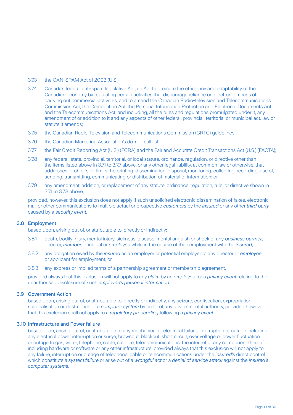#### 3.7.3 the CAN-SPAM Act of 2003 (U.S.);

- 3.7.4 Canada's federal anti-spam legislative Act; an Act to promote the efficiency and adaptability of the Canadian economy by regulating certain activities that discourage reliance on electronic means of carrying out commercial activities, and to amend the Canadian Radio-television and Telecommunications Commission Act, the Competition Act, the Personal Information Protection and Electronic Documents Act and the Telecommunications Act; and including, all the rules and regulations promulgated under it, any amendment of or addition to it and any aspects of other federal, provincial, territorial or municipal act, law or statute it amends;
- 3.7.5 the Canadian Radio-Television and Telecommunications Commission (CRTC) guidelines;
- 3.7.6 the Canadian Marketing Association's do-not-call list;
- 3.7.7 the Fair Credit Reporting Act (U.S.) (FCRA) and the Fair and Accurate Credit Transactions Act (U.S.) (FACTA);
- 3.7.8 any federal, state, provincial, territorial, or local statute, ordinance, regulation, or directive other than the items listed above in 3.7.1 to 3.7.7 above, or any other legal liability, at common law or otherwise, that addresses, prohibits, or limits the printing, dissemination, disposal, monitoring, collecting, recording, use of, sending, transmitting, communicating or distribution of material or information; or
- 3.7.9 any amendment, addition, or replacement of any statute, ordinance, regulation, rule, or directive shown in 3.7.1 to 3.7.8 above,

provided, however, this exclusion does not apply if such unsolicited electronic dissemination of faxes, electronic mail or other communications to multiple actual or prospective *customers* by the *insured* or any other *third party* caused by a *security event*.

#### 3.8 Employment

based upon, arising out of, or attributable to, directly or indirectly:

- 3.8.1 death, bodily injury, mental injury, sickness, disease, mental anguish or shock of any *business partner*, director, *member*, principal or *employee* while in the course of their employment with the *insured*;
- 3.8.2 any obligation owed by the *insured* as an employer or potential employer to any director or *employee* or applicant for employment; or
- 3.8.3 any express or implied terms of a partnership agreement or membership agreement,

provided always that this exclusion will not apply to any *claim* by an *employee* for a *privacy event* relating to the unauthorised disclosure of such *employee's personal information*.

#### 3.9 Government Action

based upon, arising out of, or attributable to, directly or indirectly, any seizure, confiscation, expropriation, nationalisation or destruction of a *computer system* by order of any governmental authority, provided however that this exclusion shall not apply to a *regulatory proceeding* following a *privacy event*.

#### 3.10 Infrastructure and Power failure

based upon, arising out of, or attributable to any mechanical or electrical failure, interruption or outage including any electrical power interruption or surge, brownout, blackout, short circuit, over voltage or power fluctuation or outage to gas, water, telephone, cable, satellite, telecommunications, the internet or any component thereof including hardware or software or any other infrastructure, provided always that this exclusion will not apply to any failure, interruption or outage of telephone, cable or telecommunications under the *insured's* direct control which constitute a *system failure* or arise out of a *wrongful act* or a *denial of service attack* against the *insured's computer systems*.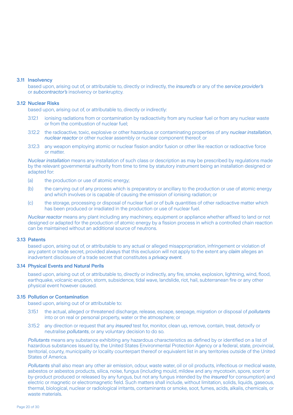#### 3.11 Insolvency

based upon, arising out of, or attributable to, directly or indirectly, the *insured's* or any of the *service provider's* or *subcontractor's* insolvency or bankruptcy.

#### 3.12 Nuclear Risks

based upon, arising out of, or attributable to, directly or indirectly:

- 3.12.1 ionising radiations from or contamination by radioactivity from any nuclear fuel or from any nuclear waste or from the combustion of nuclear fuel;
- 3.12.2 the radioactive, toxic, explosive or other hazardous or contaminating properties of any *nuclear installation*, *nuclear reactor* or other nuclear assembly or nuclear component thereof; or
- 3.12.3 any weapon employing atomic or nuclear fission and/or fusion or other like reaction or radioactive force or matter.

*Nuclear installation* means any installation of such class or description as may be prescribed by regulations made by the relevant governmental authority from time to time by statutory instrument being an installation designed or adapted for:

- (a) the production or use of atomic energy;
- (b) the carrying out of any process which is preparatory or ancillary to the production or use of atomic energy and which involves or is capable of causing the emission of ionising radiation; or
- (c) the storage, processing or disposal of nuclear fuel or of bulk quantities of other radioactive matter which has been produced or irradiated in the production or use of nuclear fuel.

*Nuclear reactor* means any plant including any machinery, equipment or appliance whether affixed to land or not designed or adapted for the production of atomic energy by a fission process in which a controlled chain reaction can be maintained without an additional source of neutrons.

#### 3.13 Patents

based upon, arising out of, or attributable to any actual or alleged misappropriation, infringement or violation of any patent or trade secret, provided always that this exclusion will not apply to the extent any *claim* alleges an inadvertent disclosure of a trade secret that constitutes a *privacy event*.

#### 3.14 Physical Events and Natural Perils

based upon, arising out of, or attributable to, directly or indirectly, any fire, smoke, explosion, lightning, wind, flood, earthquake, volcanic eruption, storm, subsidence, tidal wave, landslide, riot, hail, subterranean fire or any other physical event however caused.

#### 3.15 Pollution or Contamination

based upon, arising out of or attributable to:

- 3.15.1 the actual, alleged or threatened discharge, release, escape, seepage, migration or disposal of *pollutants* into or on real or personal property, water or the atmosphere; or
- 3.15.2 any direction or request that any *insured* test for, monitor, clean up, remove, contain, treat, detoxify or neutralise *pollutants*, or any voluntary decision to do so.

*Pollutants* means any substance exhibiting any hazardous characteristics as defined by or identified on a list of hazardous substances issued by, the United States Environmental Protection Agency or a federal, state, provincial, territorial, county, municipality or locality counterpart thereof or equivalent list in any territories outside of the United States of America.

*Pollutants* shall also mean any other air emission, odour, waste water, oil or oil products, infectious or medical waste, asbestos or asbestos products, silica, noise, fungus (including mould, mildew and any mycotoxin, spore, scent or by-product produced or released by any fungus, but not any fungus intended by the *insured* for consumption) and electric or magnetic or electromagnetic field. Such matters shall include, without limitation, solids, liquids, gaseous, thermal, biological, nuclear or radiological irritants, contaminants or smoke, soot, fumes, acids, alkalis, chemicals, or waste materials.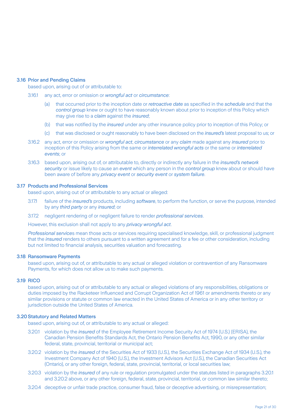#### 3.16 Prior and Pending Claims

based upon, arising out of or attributable to:

- 3.16.1 any act, error or omission or *wrongful act* or *circumstance*:
	- (a) that occurred prior to the inception date or *retroactive date* as specified in the *schedule* and that the *control group* knew or ought to have reasonably known about prior to inception of this Policy which may give rise to a *claim* against the *insured*;
	- (b) that was notified by the *insured* under any other insurance policy prior to inception of this Policy; or
	- (c) that was disclosed or ought reasonably to have been disclosed on the *insured's* latest proposal to us; or
- 3.16.2 any act, error or omission or *wrongful act*, *circumstance* or any *claim* made against any *insured* prior to inception of this Policy arising from the same or *interrelated wrongful acts* or the same or *interrelated events*; or
- 3.16.3 based upon, arising out of, or attributable to, directly or indirectly any failure in the *insured's network security* or issue likely to cause an *event* which any person in the *control group* knew about or should have been aware of before any *privacy event* or *security event* or *system failure*.

#### 3.17 Products and Professional Services

based upon, arising out of or attributable to any actual or alleged:

- 3.17.1 failure of the *insured's* products, including *software*, to perform the function, or serve the purpose, intended by any *third party* or any *insured*; or
- 3.17.2 negligent rendering of or negligent failure to render *professional services*.

However, this exclusion shall not apply to any *privacy wrongful act*.

*Professional service*s mean those acts or services requiring specialised knowledge, skill, or professional judgment that the *insured* renders to others pursuant to a written agreement and for a fee or other consideration, including but not limited to financial analysis, securities valuation and forecasting.

#### 3.18 Ransomware Payments

based upon, arising out of, or attributable to any actual or alleged violation or contravention of any Ransomware Payments, for which does not allow us to make such payments.

#### 3.19 RICO

based upon, arising out of or attributable to any actual or alleged violations of any responsibilities, obligations or duties imposed by the Racketeer Influenced and Corrupt Organization Act of 1961 or amendments thereto or any similar provisions or statute or common law enacted in the United States of America or in any other territory or jurisdiction outside the United States of America.

#### 3.20Statutory and Related Matters

based upon, arising out of, or attributable to any actual or alleged:

- 3.20.1 violation by the *insured* of the Employee Retirement Income Security Act of 1974 (U.S.) (ERISA), the Canadian Pension Benefits Standards Act, the Ontario Pension Benefits Act, 1990, or any other similar federal, state, provincial, territorial or municipal act;
- 3.20.2 violation by the *insured* of the Securities Act of 1933 (U.S.), the Securities Exchange Act of 1934 (U.S.), the Investment Company Act of 1940 (U.S.), the Investment Advisors Act (U.S.), the Canadian Securities Act (Ontario), or any other foreign, federal, state, provincial, territorial, or local securities law;
- 3.20.3 violation by the *insured* of any rule or regulation promulgated under the statutes listed in paragraphs 3.20.1 and 3.20.2 above, or any other foreign, federal, state, provincial, territorial, or common law similar thereto;
- 3.20.4 deceptive or unfair trade practice, consumer fraud, false or deceptive advertising, or misrepresentation;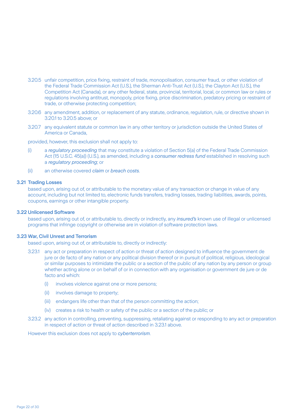- 3.20.5 unfair competition, price fixing, restraint of trade, monopolisation, consumer fraud, or other violation of the Federal Trade Commission Act (U.S.), the Sherman Anti-Trust Act (U.S.), the Clayton Act (U.S.), the Competition Act (Canada), or any other federal, state, provincial, territorial, local, or common law or rules or regulations involving antitrust, monopoly, price fixing, price discrimination, predatory pricing or restraint of trade, or otherwise protecting competition;
- 3.20.6 any amendment, addition, or replacement of any statute, ordinance, regulation, rule, or directive shown in 3.20.1 to 3.20.5 above; or
- 3.20.7 any equivalent statute or common law in any other territory or jurisdiction outside the United States of America or Canada,

provided, however, this exclusion shall not apply to:

- (i) a *regulatory proceeding* that may constitute a violation of Section 5(a) of the Federal Trade Commission Act (15 U.S.C. 45(a)) (U.S.), as amended, including a *consumer redress fund* established in resolving such a *regulatory proceeding*; or
- (ii) an otherwise covered *claim* or *breach costs*.

#### 3.21 Trading Losses

based upon, arising out of, or attributable to the monetary value of any transaction or change in value of any account, including but not limited to, electronic funds transfers, trading losses, trading liabilities, awards, points, coupons, earnings or other intangible property.

#### 3.22 Unlicensed Software

based upon, arising out of, or attributable to, directly or indirectly, any *insured's* known use of illegal or unlicensed programs that infringe copyright or otherwise are in violation of software protection laws.

#### 3.23 War, Civil Unrest and Terrorism

based upon, arising out of, or attributable to, directly or indirectly:

- 3.23.1 any act or preparation in respect of action or threat of action designed to influence the government de jure or de facto of any nation or any political division thereof or in pursuit of political, religious, ideological or similar purposes to intimidate the public or a section of the public of any nation by any person or group whether acting alone or on behalf of or in connection with any organisation or government de jure or de facto and which:
	- (i) involves violence against one or more persons;
	- (ii) involves damage to property;
	- (iii) endangers life other than that of the person committing the action;
	- (iv) creates a risk to health or safety of the public or a section of the public; or
- 3.23.2 any action in controlling, preventing, suppressing, retaliating against or responding to any act or preparation in respect of action or threat of action described in 3.23.1 above.

However this exclusion does not apply to *cyberterrorism*.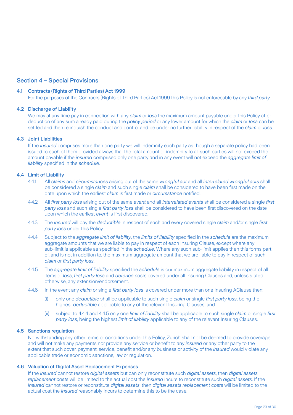# Section 4 – Special Provisions

#### 4.1 Contracts (Rights of Third Parties) Act 1999

For the purposes of the Contracts (Rights of Third Parties) Act 1999 this Policy is not enforceable by any *third party*.

#### 4.2 Discharge of Liability

We may at any time pay in connection with any *claim* or *loss* the maximum amount payable under this Policy after deduction of any sum already paid during the *policy period* or any lower amount for which the *claim* or *loss* can be settled and then relinquish the conduct and control and be under no further liability in respect of the *claim* or *loss*.

#### 4.3 Joint Liabilities

If the *insured* comprises more than one party we will indemnify each party as though a separate policy had been issued to each of them provided always that the total amount of indemnity to all such parties will not exceed the amount payable if the *insured* comprised only one party and in any event will not exceed the *aggregate limit of liability* specified in the *schedule*.

## 4.4 Limit of Liability

- 4.4.1 All *claims* and *circumstances* arising out of the same *wrongful act* and all *interrelated wrongful acts* shall be considered a single *claim* and such single *claim* shall be considered to have been first made on the date upon which the earliest *claim* is first made or *circumstance* notified.
- 4.4.2 All *first party loss* arising out of the same *event* and all *interrelated events* shall be considered a single *first party loss* and such single *first party loss* shall be considered to have been first discovered on the date upon which the earliest *event* is first discovered.
- 4.4.3 The *insured* will pay the *deductible* in respect of each and every covered single *claim* and/or single *first party loss* under this Policy.
- 4.4.4 Subject to the *aggregate limit of liability*, the *limits of liability* specified in the *schedule* are the maximum aggregate amounts that we are liable to pay in respect of each Insuring Clause, except where any sub-limit is applicable as specified in the *schedule*. Where any such sub-limit applies then this forms part of, and is not in addition to, the maximum aggregate amount that we are liable to pay in respect of such *claim* or *first party loss*.
- 4.4.5 The *aggregate limit of liability* specified the *schedule* is our maximum aggregate liability in respect of all items of *loss*, *first party loss* and *defence c*osts covered under all Insuring Clauses and, unless stated otherwise, any extension/endorsement.
- 4.4.6 In the event any *claim* or single *first party loss* is covered under more than one Insuring AClause then:
	- (i) only one *deductible* shall be applicable to such single *claim* or single *first party loss*, being the highest *deductible* applicable to any of the relevant Insuring Clauses; and
	- (ii) subject to 4.4.4 and 4.4.5 only one *limit of liability* shall be applicable to such single *claim* or single *first party loss*, being the highest *limit of liability* applicable to any of the relevant Insuring Clauses.

#### 4.5 Sanctions regulation

Notwithstanding any other terms or conditions under this Policy, Zurich shall not be deemed to provide coverage and will not make any payments nor provide any service or benefit to any *insured* or any other party to the extent that such cover, payment, service, benefit and/or any business or activity of the *insured* would violate any applicable trade or economic sanctions, law or regulation.

#### 4.6 Valuation of Digital Asset Replacement Expenses

If the *insured* cannot restore *digital assets* but can only reconstitute such *digital assets*, then *digital assets replacement costs* will be limited to the actual cost the *insured* incurs to reconstitute such *digital assets*. If the *insured* cannot restore or reconstitute *digital assets*, then *digital assets replacement costs* will be limited to the actual cost the *insured* reasonably incurs to determine this to be the case.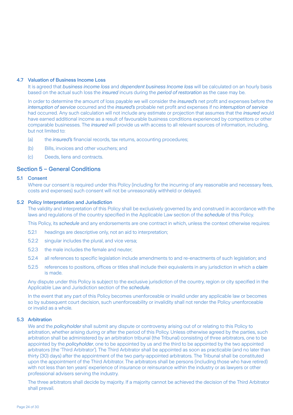#### 4.7 Valuation of Business Income Loss

It is agreed that *business income loss* and *dependent business Income loss* will be calculated on an hourly basis based on the actual such loss the *insured* incurs during the *period of restoration* as the case may be.

In order to determine the amount of loss payable we will consider the *insured's* net profit and expenses before the *interruption of service* occurred and the *insured's* probable net profit and expenses if no *interruption of service* had occurred. Any such calculation will not include any estimate or projection that assumes that the *insured* would have earned additional income as a result of favourable business conditions experienced by competitors or other comparable businesses. The *insured* will provide us with access to all relevant sources of information, including, but not limited to:

- (a) the *insured's* financial records, tax returns, accounting procedures;
- (b) Bills, invoices and other vouchers; and
- (c) Deeds, liens and contracts.

## Section 5 – General Conditions

#### 5.1 Consent

Where our consent is required under this Policy (including for the incurring of any reasonable and necessary fees, costs and expenses) such consent will not be unreasonably withheld or delayed.

#### 5.2 Policy Interpretation and Jurisdiction

The validity and interpretation of this Policy shall be exclusively governed by and construed in accordance with the laws and regulations of the country specified in the Applicable Law section of the *schedule* of this Policy.

This Policy, its *schedule* and any endorsements are one contract in which, unless the context otherwise requires:

- 5.2.1 headings are descriptive only, not an aid to interpretation;
- 5.2.2 singular includes the plural, and vice versa;
- 5.2.3 the male includes the female and neuter;
- 5.2.4 all references to specific legislation include amendments to and re-enactments of such legislation; and
- 5.2.5 references to positions, offices or titles shall include their equivalents in any jurisdiction in which a *claim* is made.

Any dispute under this Policy is subject to the exclusive jurisdiction of the country, region or city specified in the Applicable Law and Jurisdiction section of the *schedule*.

In the event that any part of this Policy becomes unenforceable or invalid under any applicable law or becomes so by subsequent court decision, such unenforceability or invalidity shall not render the Policy unenforceable or invalid as a whole.

#### 5.3 Arbitration

We and the *policyholder* shall submit any dispute or controversy arising out of or relating to this Policy to arbitration, whether arising during or after the period of this Policy. Unless otherwise agreed by the parties, such arbitration shall be administered by an arbitration tribunal (the Tribunal) consisting of three arbitrators, one to be appointed by the *policyholder*, one to be appointed by us and the third to be appointed by the two appointed arbitrators (the 'Third Arbitrator'). The Third Arbitrator shall be appointed as soon as practicable (and no later than thirty (30) days) after the appointment of the two party-appointed arbitrators. The Tribunal shall be constituted upon the appointment of the Third Arbitrator. The arbitrators shall be persons (including those who have retired) with not less than ten years' experience of insurance or reinsurance within the industry or as lawyers or other professional advisers serving the industry.

The three arbitrators shall decide by majority. If a majority cannot be achieved the decision of the Third Arbitrator shall prevail.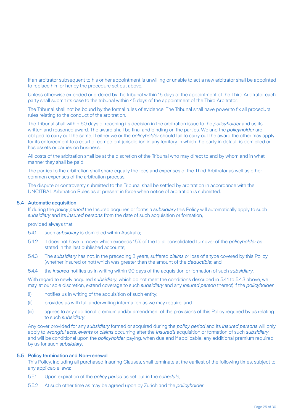If an arbitrator subsequent to his or her appointment is unwilling or unable to act a new arbitrator shall be appointed to replace him or her by the procedure set out above.

Unless otherwise extended or ordered by the tribunal within 15 days of the appointment of the Third Arbitrator each party shall submit its case to the tribunal within 45 days of the appointment of the Third Arbitrator.

The Tribunal shall not be bound by the formal rules of evidence. The Tribunal shall have power to fix all procedural rules relating to the conduct of the arbitration.

The Tribunal shall within 60 days of reaching its decision in the arbitration issue to the *policyholder* and us its written and reasoned award. The award shall be final and binding on the parties. We and the *policyholder* are obliged to carry out the same. If either we or the *policyholder* should fail to carry out the award the other may apply for its enforcement to a court of competent jurisdiction in any territory in which the party in default is domiciled or has assets or carries on business.

All costs of the arbitration shall be at the discretion of the Tribunal who may direct to and by whom and in what manner they shall be paid.

The parties to the arbitration shall share equally the fees and expenses of the Third Arbitrator as well as other common expenses of the arbitration process.

The dispute or controversy submitted to the Tribunal shall be settled by arbitration in accordance with the UNCITRAL Arbitration Rules as at present in force when notice of arbitration is submitted.

#### 5.4 Automatic acquisition

If during the *policy period* the Insured acquires or forms a *subsidiary* this Policy will automatically apply to such *subsidiary* and its *insured persons* from the date of such acquisition or formation,

provided always that:

- 5.4.1 such *subsidiary* is domiciled within Australia;
- 5.4.2 it does not have turnover which exceeds 15% of the total consolidated turnover of the *policyholder* as stated in the last published accounts;
- 5.4.3 The *subsidiary* has not, in the preceding 3 years, suffered *claims* or loss of a type covered by this Policy (whether insured or not) which was greater than the amount of the *deductible*; and
- 5.4.4 the *insured* notifies us in writing within 90 days of the acquisition or formation of such *subsidiary*.

With regard to newly acquired *subsidiary*, which do not meet the conditions described in 5.4.1 to 5.4.3 above, we may, at our sole discretion, extend coverage to such *subsidiary* and any *insured person* thereof, if the *policyholder*:

- (i) notifies us in writing of the acquisition of such entity;
- (ii) provides us with full underwriting information as we may require; and
- (iii) agrees to any additional premium and/or amendment of the provisions of this Policy required by us relating to such *subsidiary*.

Any cover provided for any *subsidiary* formed or acquired during the *policy period* and its *insured persons* will only apply to *wrongful acts*, *events* or *claims* occurring after the *Insured's* acquisition or formation of such *subsidiary* and will be conditional upon the *policyholder* paying, when due and if applicable, any additional premium required by us for such *subsidiary*.

#### 5.5 Policy termination and Non-renewal

This Policy, including all purchased Insuring Clauses, shall terminate at the earliest of the following times, subject to any applicable laws:

- 5.5.1 Upon expiration of the *policy period* as set out in the *schedule*;
- 5.5.2 At such other time as may be agreed upon by Zurich and the *policyholder*.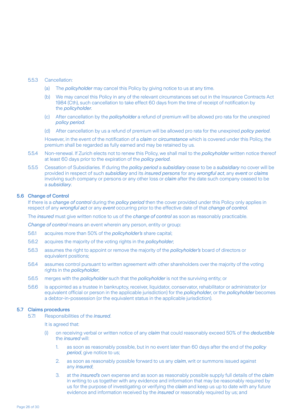#### 5.5.3 Cancellation:

- (a) The *policyholder* may cancel this Policy by giving notice to us at any time.
- (b) We may cancel this Policy in any of the relevant circumstances set out in the Insurance Contracts Act 1984 (Cth), such cancellation to take effect 60 days from the time of receipt of notification by the *policyholder*.
- (c) After cancellation by the *policyholder* a refund of premium will be allowed pro rata for the unexpired *policy period*.
- (d) After cancellation by us a refund of premium will be allowed pro rata for the unexpired *policy period*.

However, in the event of the notification of a *claim* or *circumstance* which is covered under this Policy, the premium shall be regarded as fully earned and may be retained by us.

- 5.5.4 Non-renewal. If Zurich elects not to renew this Policy, we shall mail to the *policyholder* written notice thereof at least 60 days prior to the expiration of the *policy period*.
- 5.5.5 Cessation of Subsidiaries. If during the *policy period* a *subsidiary* cease to be a *subsidiary* no cover will be provided in respect of such *subsidiary* and its *insured persons* for any *wrongful act*, any *event* or *claims* involving such company or persons or any other loss or *claim* after the date such company ceased to be a *subsidiary*.

#### 5.6 Change of Control

If there is a *change of control* during the *policy period* then the cover provided under this Policy only applies in respect of any *wrongful act* or any *event* occurring prior to the effective date of that *change of control*.

The *insured* must give written notice to us of the *change of control* as soon as reasonably practicable.

*Change of control* means an event wherein any person, entity or group:

- 5.6.1 acquires more than 50% of the *policyholder's* share capital;
- 5.6.2 acquires the majority of the voting rights in the *policyholder*;
- 5.6.3 assumes the right to appoint or remove the majority of the *policyholder's* board of directors or equivalent positions;
- 5.6.4 assumes control pursuant to written agreement with other shareholders over the majority of the voting rights in the *policyholder*;
- 5.6.5 merges with the *policyholder* such that the *policyholder* is not the surviving entity; or
- 5.6.6 is appointed as a trustee in bankruptcy, receiver, liquidator, conservator, rehabilitator or administrator (or equivalent official or person in the applicable jurisdiction) for the *policyholder*, or the *policyholder* becomes a debtor-in-possession (or the equivalent status in the applicable jurisdiction).

#### 5.7 Claims procedures

5.7.1 Responsibilities of the *insured*.

It is agreed that:

- (i) on receiving verbal or written notice of any *claim* that could reasonably exceed 50% of the *deductible* the *insured* will:
	- 1. as soon as reasonably possible, but in no event later than 60 days after the end of the *policy period*, give notice to us;
	- 2. as soon as reasonably possible forward to us any *claim*, writ or summons issued against any *insured*;
	- 3. at the *insured's* own expense and as soon as reasonably possible supply full details of the *claim* in writing to us together with any evidence and information that may be reasonably required by us for the purpose of investigating or verifying the *claim* and keep us up to date with any future evidence and information received by the *insured* or reasonably required by us; and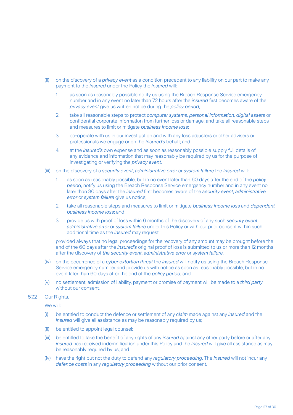- (ii) on the discovery of a *privacy event* as a condition precedent to any liability on our part to make any payment to the *insured* under the Policy the *insured* will:
	- 1. as soon as reasonably possible notify us using the Breach Response Service emergency number and in any event no later than 72 hours after the *insured* first becomes aware of the *privacy event* give us written notice during the *policy period*;
	- 2. take all reasonable steps to protect *computer systems*, *personal information*, *digital assets* or confidential corporate information from further loss or damage; and take all reasonable steps and measures to limit or mitigate *business income loss*;
	- 3. co-operate with us in our investigation and with any loss adjusters or other advisers or professionals we engage or on the *insured's* behalf; and
	- 4. at the *insured's* own expense and as soon as reasonably possible supply full details of any evidence and information that may reasonably be required by us for the purpose of investigating or verifying the *privacy event*.
- (iii) on the discovery of a *security event*, *administrative error* or *system failure* the *insured* will:
	- 1. as soon as reasonably possible, but in no event later than 60 days after the end of the *policy period*, notify us using the Breach Response Service emergency number and in any event no later than 30 days after the *insured* first becomes aware of the *security event*, *administrative error* or *system failure* give us notice;
	- 2. take all reasonable steps and measures to limit or mitigate *business income loss* and *dependent business income loss*; and
	- 3. provide us with proof of loss within 6 months of the discovery of any such *security event*, *administrative error* or *system failure* under this Policy or with our prior consent within such additional time as the *insured* may request,

 provided always that no legal proceedings for the recovery of any amount may be brought before the end of the 60 days after the *insured's* original proof of loss is submitted to us or more than 12 months after the discovery of *the security event*, a*dministrative error* or s*ystem failure*.

- (iv) on the occurrence of a *cyber extortion threat* the *insured* will notify us using the Breach Response Service emergency number and provide us with notice as soon as reasonably possible, but in no event later than 60 days after the end of the *policy period*; and
- (v) no settlement, admission of liability, payment or promise of payment will be made to a *third party* without our consent.
- 5.7.2 Our Rights.

We will:

- (i) be entitled to conduct the defence or settlement of any *claim* made against any *insured* and the *insured* will give all assistance as may be reasonably required by us;
- (ii) be entitled to appoint legal counsel;
- (iii) be entitled to take the benefit of any rights of any *insured* against any other party before or after any *insured* has received indemnification under this Policy and the *insured* will give all assistance as may be reasonably required by us; and
- (iv) have the right but not the duty to defend any *regulatory proceeding*. The *insured* will not incur any *defence costs* in any *regulatory proceeding* without our prior consent.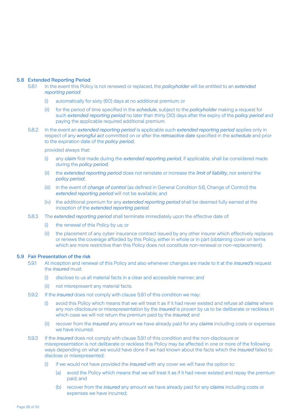#### 5.8 Extended Reporting Period

- 5.8.1 In the event this Policy is not renewed or replaced, the *policyholder* will be entitled to an *extended reporting period*:
	- (i) automatically for sixty (60) days at no additional premium; or
	- (ii) for the period of time specified in the *schedule*, subject to the *policyholder* making a request for such *extended reporting period* no later than thirty (30) days after the expiry of the *policy period* and paying the applicable required additional premium.
- 5.8.2 In the event an *extended reporting period* is applicable such *extended reporting period* applies only in respect of any *wrongful act* committed on or after the *retroactive date* specified in the *schedule* and prior to the expiration date of the *policy period*,

provided always that:

- (i) any *claim* first made during the *extended reporting period*, if applicable, shall be considered made during the *policy period*;
- (ii) the *extended reporting period* does not reinstate or increase the *limit of liability*, nor extend the *policy period*;
- (iii) in the event of *change of control* (as defined in General Condition 5.6, Change of Control) the *extended reporting period* will not be available; and
- (iv) the additional premium for any *extended reporting period* shall be deemed fully earned at the inception of the *extended reporting period*.
- 5.8.3 The *extended reporting period* shall terminate immediately upon the effective date of:
	- (i) the renewal of this Policy by us; or
	- (ii) the placement of any cyber insurance contract issued by any other insurer which effectively replaces or renews the coverage afforded by this Policy, either in whole or in part (obtaining cover on terms which are more restrictive than this Policy does not constitute non-renewal or non-replacement).

#### 5.9 Fair Presentation of the risk

- 5.9.1 At inception and renewal of this Policy and also whenever changes are made to it at the *insured's* request the *insured* must:
	- (i) disclose to us all material facts in a clear and accessible manner; and
	- (ii) not misrepresent any material facts.
- 5.9.2 If the *insured* does not comply with clause 5.9.1 of this condition we may:
	- (i) avoid this Policy which means that we will treat it as if it had never existed and refuse all *claims* where any non-disclosure or misrepresentation by the *insured* is proven by us to be deliberate or reckless in which case we will not return the premium paid by the *insured*; and
	- (ii) recover from the *insured* any amount we have already paid for any *claims* including costs or expenses we have incurred.
- 5.9.3 If the *insured* does not comply with clause 5.9.1 of this condition and the non-disclosure or misrepresentation is not deliberate or reckless this Policy may be affected in one or more of the following ways depending on what we would have done if we had known about the facts which the *insured* failed to disclose or misrepresented:
	- (i) if we would not have provided the *insured* with any cover we will have the option to:
		- (a) avoid the Policy which means that we will treat it as if it had never existed and repay the premium paid; and
		- (b) recover from the *insured* any amount we have already paid for any *claims* including costs or expenses we have incurred;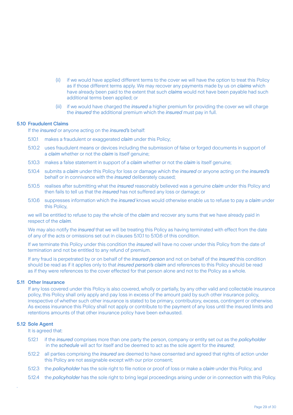- (ii) if we would have applied different terms to the cover we will have the option to treat this Policy as if those different terms apply. We may recover any payments made by us on *claims* which have already been paid to the extent that such *claims* would not have been payable had such additional terms been applied; or
- (iii) if we would have charged the *insured* a higher premium for providing the cover we will charge the *insured* the additional premium which the *insured* must pay in full.

#### 5.10 Fraudulent Claims

If the *insured* or anyone acting on the *insured's* behalf:

- 5.10.1 makes a fraudulent or exaggerated *claim* under this Policy;
- 5.10.2 uses fraudulent means or devices including the submission of false or forged documents in support of a *claim* whether or not the *claim* is itself genuine;
- 5.10.3 makes a false statement in support of a *claim* whether or not the *claim* is itself genuine;
- 5.10.4 submits a *claim* under this Policy for loss or damage which the *insured* or anyone acting on the *insured's* behalf or in connivance with the *insured* deliberately caused;
- 5.10.5 realises after submitting what the *insured* reasonably believed was a genuine *claim* under this Policy and then fails to tell us that the *insured* has not suffered any loss or damage; or
- 5.10.6 suppresses information which the *insured* knows would otherwise enable us to refuse to pay a *claim* under this Policy,

we will be entitled to refuse to pay the whole of the *claim* and recover any sums that we have already paid in respect of the *claim*.

We may also notify the *insured* that we will be treating this Policy as having terminated with effect from the date of any of the acts or omissions set out in clauses 5.10.1 to 5.10.6 of this condition.

If we terminate this Policy under this condition the *insured* will have no cover under this Policy from the date of termination and not be entitled to any refund of premium.

If any fraud is perpetrated by or on behalf of the *insured person* and not on behalf of the *insured* this condition should be read as if it applies only to that *insured person's claim* and references to this Policy should be read as if they were references to the cover effected for that person alone and not to the Policy as a whole.

#### 5.11 Other Insurance

If any loss covered under this Policy is also covered, wholly or partially, by any other valid and collectable insurance policy, this Policy shall only apply and pay loss in excess of the amount paid by such other insurance policy, irrespective of whether such other insurance is stated to be primary, contributory, excess, contingent or otherwise. As excess insurance this Policy shall not apply or contribute to the payment of any loss until the insured limits and retentions amounts of that other insurance policy have been exhausted.

#### 5.12 Sole Agent

.

It is agreed that:

- 5.12.1 if the *insured* comprises more than one party the person, company or entity set out as the *policyholder* in the *schedule* will act for itself and be deemed to act as the sole agent for the *insured*;
- 5.12.2 all parties comprising the *insured* are deemed to have consented and agreed that rights of action under this Policy are not assignable except with our prior consent;
- 5.12.3 the *policyholder* has the sole right to file notice or proof of loss or make a *claim* under this Policy; and
- 5.12.4 the *policyholder* has the sole right to bring legal proceedings arising under or in connection with this Policy.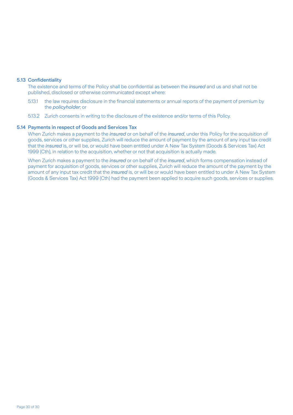#### 5.13 Confidentiality

The existence and terms of the Policy shall be confidential as between the *insured* and us and shall not be published, disclosed or otherwise communicated except where:

- 5.13.1 the law requires disclosure in the financial statements or annual reports of the payment of premium by the *policyholder*; or
- 5.13.2 Zurich consents in writing to the disclosure of the existence and/or terms of this Policy.

#### 5.14 Payments in respect of Goods and Services Tax

When Zurich makes a payment to the *insured* or on behalf of the *insured*, under this Policy for the acquisition of goods, services or other supplies, Zurich will reduce the amount of payment by the amount of any input tax credit that the *insured* is, or will be, or would have been entitled under A New Tax System (Goods & Services Tax) Act 1999 (Cth), in relation to the acquisition, whether or not that acquisition is actually made.

When Zurich makes a payment to the *insured* or on behalf of the *insured*, which forms compensation instead of payment for acquisition of goods, services or other supplies, Zurich will reduce the amount of the payment by the amount of any input tax credit that the *insured* is, or will be or would have been entitled to under A New Tax System (Goods & Services Tax) Act 1999 (Cth) had the payment been applied to acquire such goods, services or supplies.